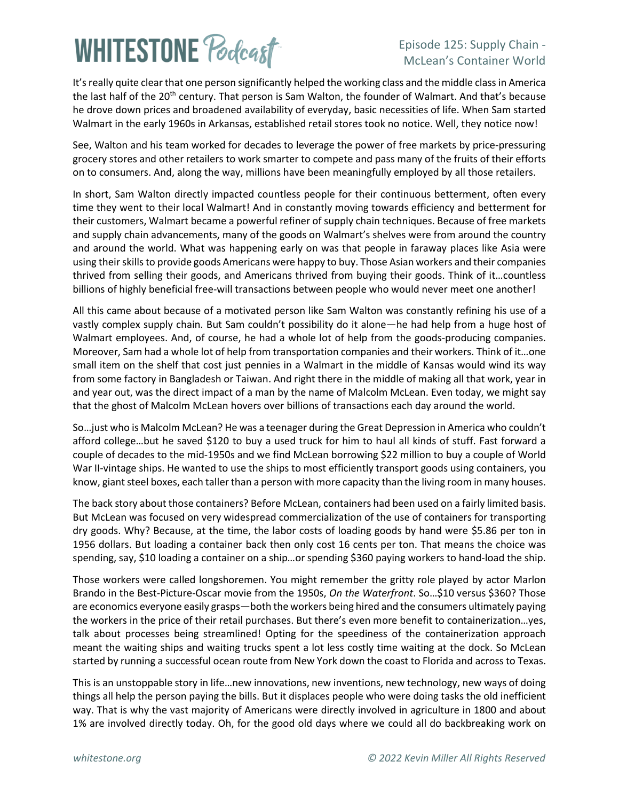# **WHITESTONE Poclast**

#### Episode 125: Supply Chain - McLean's Container World

It's really quite clear that one person significantly helped the working class and the middle class in America the last half of the 20<sup>th</sup> century. That person is Sam Walton, the founder of Walmart. And that's because he drove down prices and broadened availability of everyday, basic necessities of life. When Sam started Walmart in the early 1960s in Arkansas, established retail stores took no notice. Well, they notice now!

See, Walton and his team worked for decades to leverage the power of free markets by price-pressuring grocery stores and other retailers to work smarter to compete and pass many of the fruits of their efforts on to consumers. And, along the way, millions have been meaningfully employed by all those retailers.

In short, Sam Walton directly impacted countless people for their continuous betterment, often every time they went to their local Walmart! And in constantly moving towards efficiency and betterment for their customers, Walmart became a powerful refiner of supply chain techniques. Because of free markets and supply chain advancements, many of the goods on Walmart's shelves were from around the country and around the world. What was happening early on was that people in faraway places like Asia were using their skills to provide goods Americans were happy to buy. Those Asian workers and their companies thrived from selling their goods, and Americans thrived from buying their goods. Think of it…countless billions of highly beneficial free-will transactions between people who would never meet one another!

All this came about because of a motivated person like Sam Walton was constantly refining his use of a vastly complex supply chain. But Sam couldn't possibility do it alone—he had help from a huge host of Walmart employees. And, of course, he had a whole lot of help from the goods-producing companies. Moreover, Sam had a whole lot of help from transportation companies and their workers. Think of it…one small item on the shelf that cost just pennies in a Walmart in the middle of Kansas would wind its way from some factory in Bangladesh or Taiwan. And right there in the middle of making all that work, year in and year out, was the direct impact of a man by the name of Malcolm McLean. Even today, we might say that the ghost of Malcolm McLean hovers over billions of transactions each day around the world.

So…just who is Malcolm McLean? He was a teenager during the Great Depression in America who couldn't afford college…but he saved \$120 to buy a used truck for him to haul all kinds of stuff. Fast forward a couple of decades to the mid-1950s and we find McLean borrowing \$22 million to buy a couple of World War II-vintage ships. He wanted to use the ships to most efficiently transport goods using containers, you know, giant steel boxes, each taller than a person with more capacity than the living room in many houses.

The back story about those containers? Before McLean, containers had been used on a fairly limited basis. But McLean was focused on very widespread commercialization of the use of containers for transporting dry goods. Why? Because, at the time, the labor costs of loading goods by hand were \$5.86 per ton in 1956 dollars. But loading a container back then only cost 16 cents per ton. That means the choice was spending, say, \$10 loading a container on a ship…or spending \$360 paying workers to hand-load the ship.

Those workers were called longshoremen. You might remember the gritty role played by actor Marlon Brando in the Best-Picture-Oscar movie from the 1950s, *On the Waterfront*. So…\$10 versus \$360? Those are economics everyone easily grasps—both the workers being hired and the consumers ultimately paying the workers in the price of their retail purchases. But there's even more benefit to containerization…yes, talk about processes being streamlined! Opting for the speediness of the containerization approach meant the waiting ships and waiting trucks spent a lot less costly time waiting at the dock. So McLean started by running a successful ocean route from New York down the coast to Florida and across to Texas.

This is an unstoppable story in life…new innovations, new inventions, new technology, new ways of doing things all help the person paying the bills. But it displaces people who were doing tasks the old inefficient way. That is why the vast majority of Americans were directly involved in agriculture in 1800 and about 1% are involved directly today. Oh, for the good old days where we could all do backbreaking work on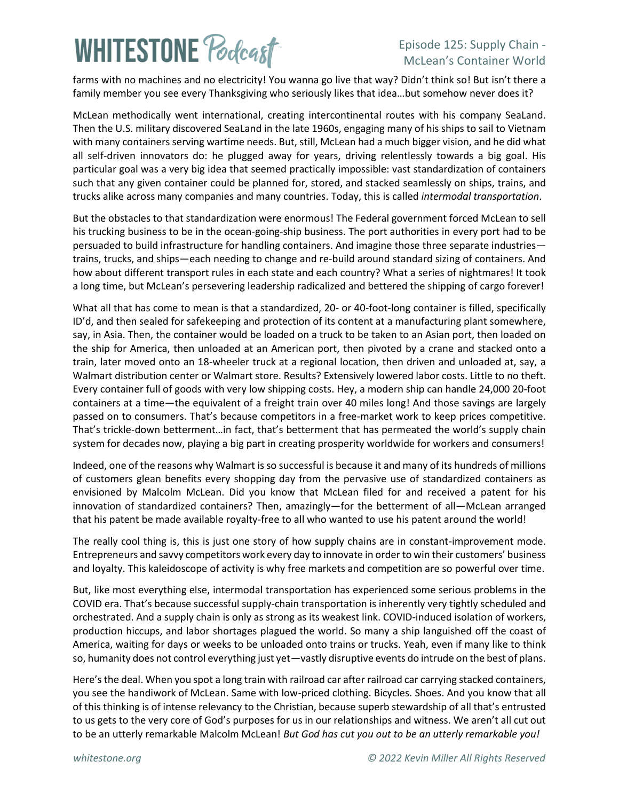## **WHITESTONE Podcast**

### Episode 125: Supply Chain - McLean's Container World

farms with no machines and no electricity! You wanna go live that way? Didn't think so! But isn't there a family member you see every Thanksgiving who seriously likes that idea…but somehow never does it?

McLean methodically went international, creating intercontinental routes with his company SeaLand. Then the U.S. military discovered SeaLand in the late 1960s, engaging many of his ships to sail to Vietnam with many containers serving wartime needs. But, still, McLean had a much bigger vision, and he did what all self-driven innovators do: he plugged away for years, driving relentlessly towards a big goal. His particular goal was a very big idea that seemed practically impossible: vast standardization of containers such that any given container could be planned for, stored, and stacked seamlessly on ships, trains, and trucks alike across many companies and many countries. Today, this is called *intermodal transportation*.

But the obstacles to that standardization were enormous! The Federal government forced McLean to sell his trucking business to be in the ocean-going-ship business. The port authorities in every port had to be persuaded to build infrastructure for handling containers. And imagine those three separate industries trains, trucks, and ships—each needing to change and re-build around standard sizing of containers. And how about different transport rules in each state and each country? What a series of nightmares! It took a long time, but McLean's persevering leadership radicalized and bettered the shipping of cargo forever!

What all that has come to mean is that a standardized, 20- or 40-foot-long container is filled, specifically ID'd, and then sealed for safekeeping and protection of its content at a manufacturing plant somewhere, say, in Asia. Then, the container would be loaded on a truck to be taken to an Asian port, then loaded on the ship for America, then unloaded at an American port, then pivoted by a crane and stacked onto a train, later moved onto an 18-wheeler truck at a regional location, then driven and unloaded at, say, a Walmart distribution center or Walmart store. Results? Extensively lowered labor costs. Little to no theft. Every container full of goods with very low shipping costs. Hey, a modern ship can handle 24,000 20-foot containers at a time—the equivalent of a freight train over 40 miles long! And those savings are largely passed on to consumers. That's because competitors in a free-market work to keep prices competitive. That's trickle-down betterment…in fact, that's betterment that has permeated the world's supply chain system for decades now, playing a big part in creating prosperity worldwide for workers and consumers!

Indeed, one of the reasons why Walmart is so successful is because it and many of its hundreds of millions of customers glean benefits every shopping day from the pervasive use of standardized containers as envisioned by Malcolm McLean. Did you know that McLean filed for and received a patent for his innovation of standardized containers? Then, amazingly—for the betterment of all—McLean arranged that his patent be made available royalty-free to all who wanted to use his patent around the world!

The really cool thing is, this is just one story of how supply chains are in constant-improvement mode. Entrepreneurs and savvy competitors work every day to innovate in order to win their customers' business and loyalty. This kaleidoscope of activity is why free markets and competition are so powerful over time.

But, like most everything else, intermodal transportation has experienced some serious problems in the COVID era. That's because successful supply-chain transportation is inherently very tightly scheduled and orchestrated. And a supply chain is only as strong as its weakest link. COVID-induced isolation of workers, production hiccups, and labor shortages plagued the world. So many a ship languished off the coast of America, waiting for days or weeks to be unloaded onto trains or trucks. Yeah, even if many like to think so, humanity does not control everything just yet—vastly disruptive events do intrude on the best of plans.

Here's the deal. When you spot a long train with railroad car after railroad car carrying stacked containers, you see the handiwork of McLean. Same with low-priced clothing. Bicycles. Shoes. And you know that all of this thinking is of intense relevancy to the Christian, because superb stewardship of all that's entrusted to us gets to the very core of God's purposes for us in our relationships and witness. We aren't all cut out to be an utterly remarkable Malcolm McLean! *But God has cut you out to be an utterly remarkable you!*